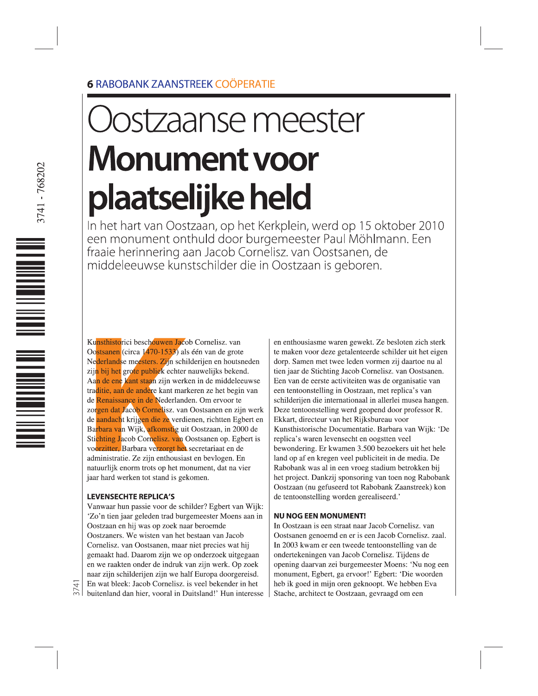## **6 RABOBANK ZAANSTREEK COÖPERATIE**

# **stzaanse meester Monument voor** plaatselijke held

In het hart van Oostzaan, op het Kerkplein, werd op 15 oktober 2010 een monument onthuld door burgemeester Paul Möhlmann. Een fraaie herinnering aan Jacob Cornelisz. van Oostsanen, de middeleeuwse kunstschilder die in Oostzaan is geboren.

Kunsthistorici beschouwen Jacob Cornelisz. van Oostsanen (circa 1470-1533) als één van de grote Nederlandse meesters. Zijn schilderijen en houtsneden zijn bij het grote publiek echter nauwelijks bekend. Aan de ene kant staan zijn werken in de middeleeuwse traditie, aan de andere kant markeren ze het begin van de Renaissance in de Nederlanden. Om ervoor te zorgen dat Jacob Cornelisz. van Oostsanen en zijn werk de aandacht krijgen die ze verdienen, richtten Egbert en Barbara van Wijk, afkomstig uit Oostzaan, in 2000 de Stichting Jacob Cornelisz. van Oostsanen op. Egbert is voorzitter, Barbara verzorgt het secretariaat en de administratie. Ze zijn enthousiast en bevlogen. En natuurlijk enorm trots op het monument, dat na vier jaar hard werken tot stand is gekomen.

#### **LEVENSECHTE REPLICA'S**

3741

Vanwaar hun passie voor de schilder? Egbert van Wijk: 'Zo'n tien jaar geleden trad burgemeester Moens aan in Oostzaan en hij was op zoek naar beroemde Oostzaners. We wisten van het bestaan van Jacob Cornelisz. van Oostsanen, maar niet precies wat hij gemaakt had. Daarom zijn we op onderzoek uitgegaan en we raakten onder de indruk van zijn werk. Op zoek naar zijn schilderijen zijn we half Europa doorgereisd. En wat bleek: Jacob Cornelisz. is veel bekender in het buitenland dan hier, vooral in Duitsland!' Hun interesse

en enthousiasme waren gewekt. Ze besloten zich sterk te maken voor deze getalenteerde schilder uit het eigen dorp. Samen met twee leden vormen zij daartoe nu al tien jaar de Stichting Jacob Cornelisz. van Oostsanen. Een van de eerste activiteiten was de organisatie van een tentoonstelling in Oostzaan, met replica's van schilderijen die internationaal in allerlei musea hangen. Deze tentoonstelling werd geopend door professor R. Ekkart, directeur van het Rijksbureau voor Kunsthistorische Documentatie. Barbara van Wijk: 'De replica's waren levensecht en oogstten veel bewondering. Er kwamen 3.500 bezoekers uit het hele land op af en kregen veel publiciteit in de media. De Rabobank was al in een vroeg stadium betrokken bij het project. Dankzij sponsoring van toen nog Rabobank Oostzaan (nu gefuseerd tot Rabobank Zaanstreek) kon de tentoonstelling worden gerealiseerd.'

#### **NU NOG EEN MONUMENT!**

In Oostzaan is een straat naar Jacob Cornelisz. van Oostsanen genoemd en er is een Jacob Cornelisz. zaal. In 2003 kwam er een tweede tentoonstelling van de ondertekeningen van Jacob Cornelisz. Tijdens de opening daarvan zei burgemeester Moens: 'Nu nog een monument, Egbert, ga ervoor!' Egbert: 'Die woorden heb ik goed in mijn oren geknoopt. We hebben Eva Stache, architect te Oostzaan, gevraagd om een

<u>Mana</u> de la componenta de la componenta del controlle del controlle del controlle del controlle del controlle del co<br>Del controlle del controlle del controlle del controlle del controlle del controlle del controlle del controll